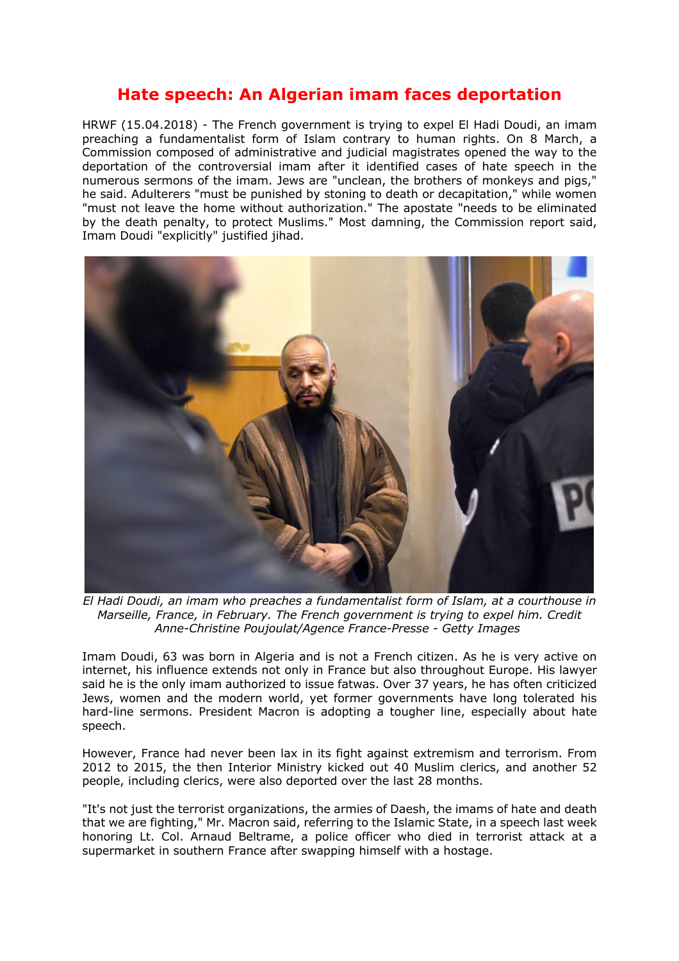## **Hate speech: An Algerian imam faces deportation**

HRWF (15.04.2018) - The French government is trying to expel El Hadi Doudi, an imam preaching a fundamentalist form of Islam contrary to human rights. On 8 March, a Commission composed of administrative and judicial magistrates opened the way to the deportation of the controversial imam after it identified cases of hate speech in the numerous sermons of the imam. Jews are "unclean, the brothers of monkeys and pigs," he said. Adulterers "must be punished by stoning to death or decapitation," while women "must not leave the home without authorization." The apostate "needs to be eliminated by the death penalty, to protect Muslims." Most damning, the Commission report said, Imam Doudi "explicitly" justified jihad.



*El Hadi Doudi, an imam who preaches a fundamentalist form of Islam, at a courthouse in Marseille, France, in February. The French government is trying to expel him. Credit Anne-Christine Poujoulat/Agence France-Presse - Getty Images*

Imam Doudi, 63 was born in Algeria and is not a French citizen. As he is very active on internet, his influence extends not only in France but also throughout Europe. His lawyer said he is the only imam authorized to issue fatwas. Over 37 years, he has often criticized Jews, women and the modern world, yet former governments have long tolerated his hard-line sermons. President Macron is adopting a tougher line, especially about hate speech.

However, France had never been lax in its fight against extremism and terrorism. From 2012 to 2015, the then Interior Ministry kicked out 40 Muslim clerics, and another 52 people, including clerics, were also deported over the last 28 months.

"It's not just the terrorist organizations, the armies of Daesh, the imams of hate and death that we are fighting," Mr. Macron said, referring to the Islamic State, in a speech last week honoring Lt. Col. Arnaud Beltrame, a police officer who died in terrorist attack at a supermarket in southern France after swapping himself with a hostage.